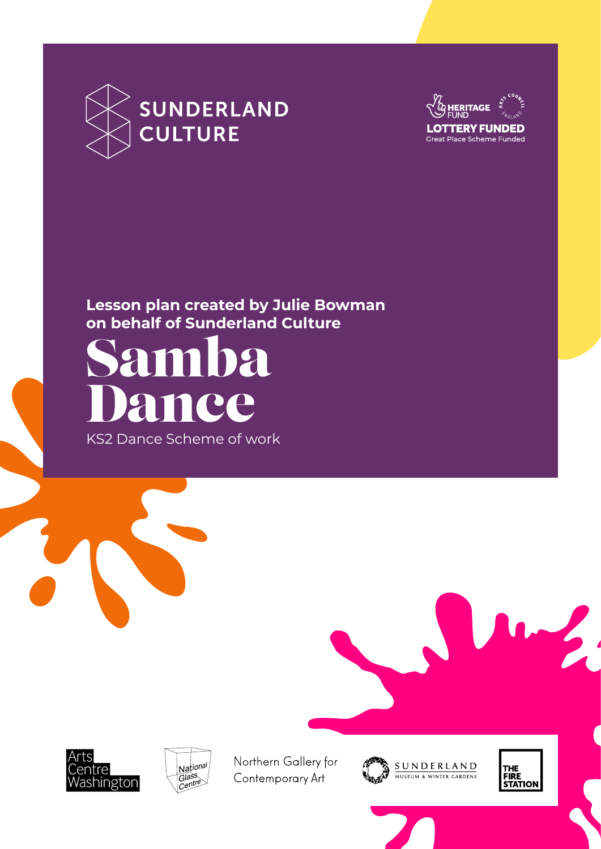



### **Lesson plan created by Julie Bowman on behalf of Sunderland Culture**

Samba nce

KS2 Dance Scheme of work





Northern Gallery for Contemporary Art



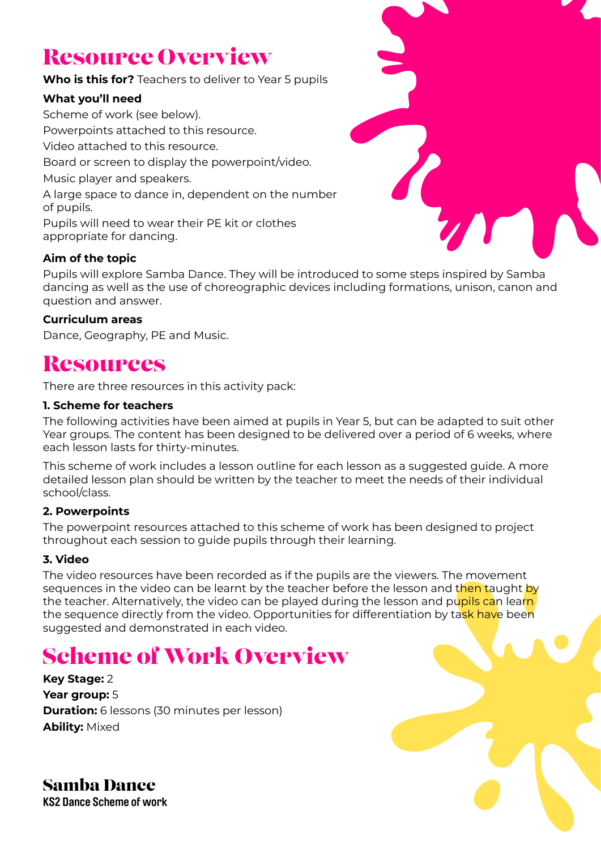# Resource Overview

**Who is this for?** Teachers to deliver to Year 5 pupils

#### **What you'll need**

Scheme of work (see below). Powerpoints attached to this resource. Video attached to this resource. Board or screen to display the powerpoint/video. Music player and speakers. A large space to dance in, dependent on the number of pupils. Pupils will need to wear their PE kit or clothes appropriate for dancing.



#### **Aim of the topic**

Pupils will explore Samba Dance. They will be introduced to some steps inspired by Samba dancing as well as the use of choreographic devices including formations, unison, canon and question and answer.

#### **Curriculum areas**

Dance, Geography, PE and Music.

### **Resources**

There are three resources in this activity pack:

#### **1. Scheme for teachers**

The following activities have been aimed at pupils in Year 5, but can be adapted to suit other Year groups. The content has been designed to be delivered over a period of 6 weeks, where each lesson lasts for thirty-minutes.

This scheme of work includes a lesson outline for each lesson as a suggested guide. A more detailed lesson plan should be written by the teacher to meet the needs of their individual school/class.

#### **2. Powerpoints**

The powerpoint resources attached to this scheme of work has been designed to project throughout each session to guide pupils through their learning.

#### **3. Video**

The video resources have been recorded as if the pupils are the viewers. The movement sequences in the video can be learnt by the teacher before the lesson and then taught by the teacher. Alternatively, the video can be played during the lesson and pupils can learn the sequence directly from the video. Opportunities for differentiation by task have been suggested and demonstrated in each video.

# Scheme of Work Overview

**Key Stage:** 2 **Year group:** 5 **Duration:** 6 lessons (30 minutes per lesson) **Ability:** Mixed

Samba Dance **KS2 Dance Scheme of work**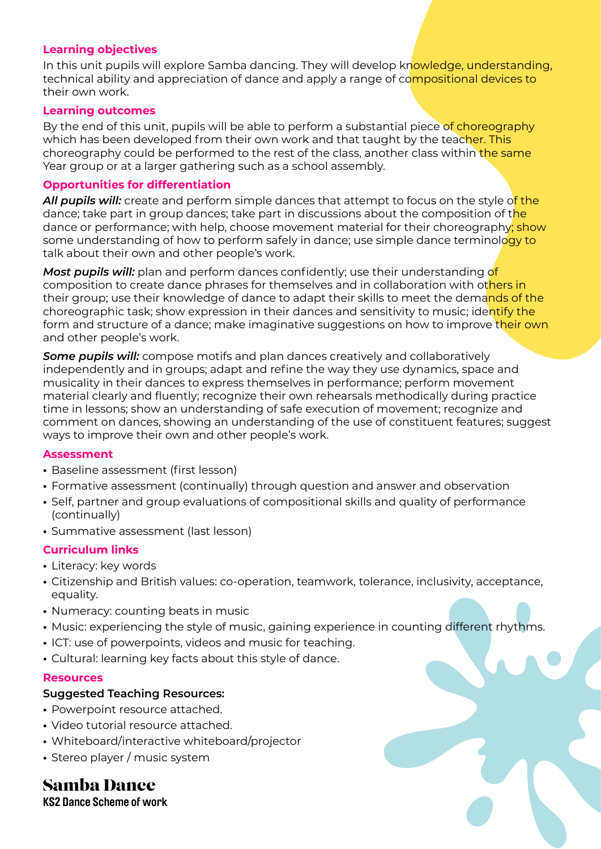#### **Learning objectives**

In this unit pupils will explore Samba dancing. They will develop knowledge, understanding, technical ability and appreciation of dance and apply a range of compositional devices to their own work.

#### **Learning outcomes**

By the end of this unit, pupils will be able to perform a substantial piece of choreography which has been developed from their own work and that taught by the teacher. This choreography could be performed to the rest of the class, another class within the same Year group or at a larger gathering such as a school assembly.

#### **Opportunities for differentiation**

*All pupils will:* create and perform simple dances that attempt to focus on the style of the dance; take part in group dances; take part in discussions about the composition of the dance or performance; with help, choose movement material for their choreography; show some understanding of how to perform safely in dance; use simple dance terminology to talk about their own and other people's work.

*Most pupils will:* plan and perform dances confidently; use their understanding of composition to create dance phrases for themselves and in collaboration with others in their group; use their knowledge of dance to adapt their skills to meet the demands of the choreographic task; show expression in their dances and sensitivity to music; identify the form and structure of a dance; make imaginative suggestions on how to improve their own and other people's work.

*Some pupils will:* compose motifs and plan dances creatively and collaboratively independently and in groups; adapt and refine the way they use dynamics, space and musicality in their dances to express themselves in performance; perform movement material clearly and fluently; recognize their own rehearsals methodically during practice time in lessons; show an understanding of safe execution of movement; recognize and comment on dances, showing an understanding of the use of constituent features; suggest ways to improve their own and other people's work.

#### **Assessment**

- **•** Baseline assessment (first lesson)
- **•** Formative assessment (continually) through question and answer and observation
- **•** Self, partner and group evaluations of compositional skills and quality of performance (continually)
- **•** Summative assessment (last lesson)

#### **Curriculum links**

- **•** Literacy: key words
- **•** Citizenship and British values: co-operation, teamwork, tolerance, inclusivity, acceptance, equality.
- **•** Numeracy: counting beats in music
- **•** Music: experiencing the style of music, gaining experience in counting different rhythms.
- **•** ICT: use of powerpoints, videos and music for teaching.
- **•** Cultural: learning key facts about this style of dance.

#### **Resources**

#### **Suggested Teaching Resources:**

- **•** Powerpoint resource attached.
- **•** Video tutorial resource attached.
- **•** Whiteboard/interactive whiteboard/projector
- **•** Stereo player / music system

### Samba Dance

**KS2 Dance Scheme of work**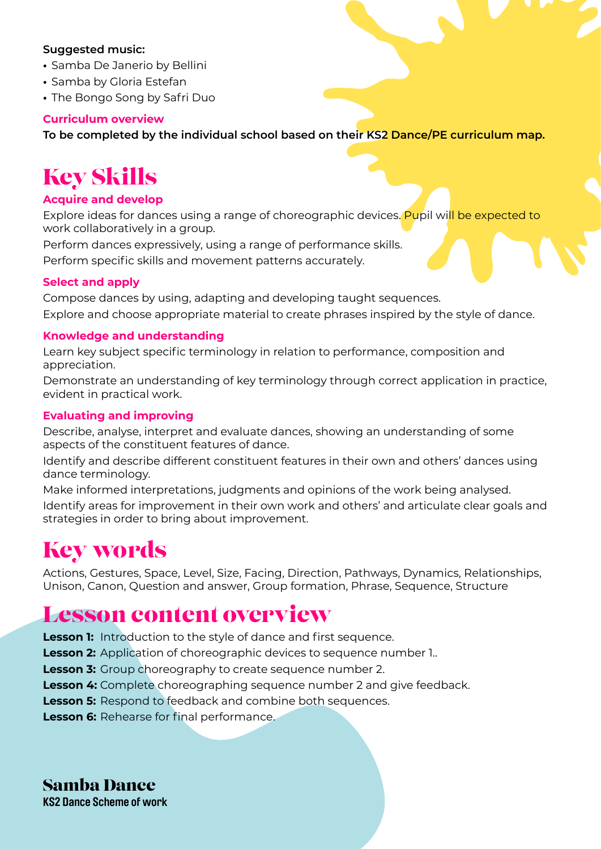#### **Suggested music:**

- **•** Samba De Janerio by Bellini
- **•** Samba by Gloria Estefan
- **•** The Bongo Song by Safri Duo

#### **Curriculum overview**

**To be completed by the individual school based on their KS2 Dance/PE curriculum map.** 

## Key Skills

#### **Acquire and develop**

Explore ideas for dances using a range of choreographic devices. Pupil will be expected to work collaboratively in a group.

Perform dances expressively, using a range of performance skills. Perform specific skills and movement patterns accurately.

#### **Select and apply**

Compose dances by using, adapting and developing taught sequences. Explore and choose appropriate material to create phrases inspired by the style of dance.

#### **Knowledge and understanding**

Learn key subject specific terminology in relation to performance, composition and appreciation.

Demonstrate an understanding of key terminology through correct application in practice, evident in practical work.

#### **Evaluating and improving**

Describe, analyse, interpret and evaluate dances, showing an understanding of some aspects of the constituent features of dance.

Identify and describe different constituent features in their own and others' dances using dance terminology.

Make informed interpretations, judgments and opinions of the work being analysed. Identify areas for improvement in their own work and others' and articulate clear goals and strategies in order to bring about improvement.

# Key words

Actions, Gestures, Space, Level, Size, Facing, Direction, Pathways, Dynamics, Relationships, Unison, Canon, Question and answer, Group formation, Phrase, Sequence, Structure

### Lesson content overview

**Lesson 1:** Introduction to the style of dance and first sequence.

- **Lesson 2:** Application of choreographic devices to sequence number 1..
- **Lesson 3:** Group choreography to create sequence number 2.
- **Lesson 4:** Complete choreographing sequence number 2 and give feedback.
- **Lesson 5:** Respond to feedback and combine both sequences.
- **Lesson 6:** Rehearse for final performance.

Samba Dance

**KS2 Dance Scheme of work**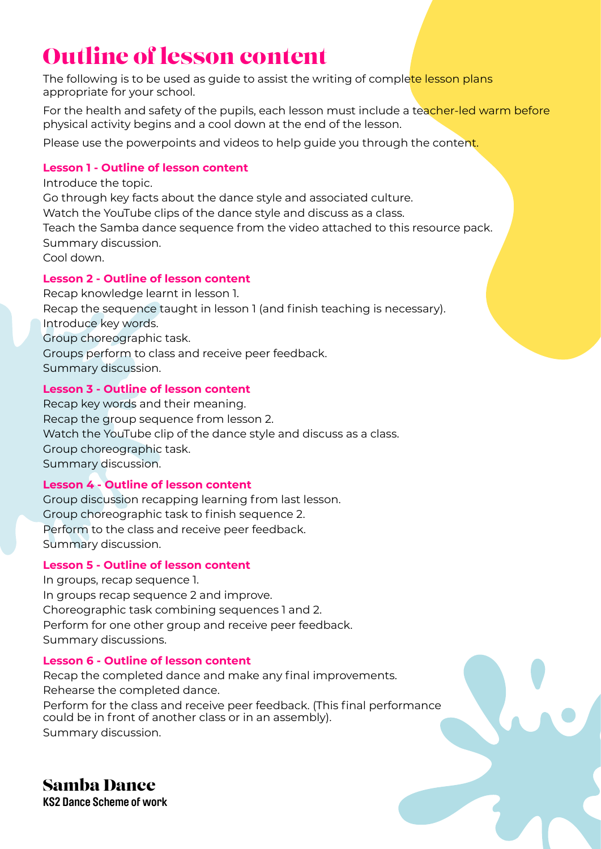# Outline of lesson content

The following is to be used as guide to assist the writing of complete lesson plans appropriate for your school.

For the health and safety of the pupils, each lesson must include a teacher-led warm before physical activity begins and a cool down at the end of the lesson.

Please use the powerpoints and videos to help guide you through the content.

#### **Lesson 1 - Outline of lesson content**

Introduce the topic. Go through key facts about the dance style and associated culture. Watch the YouTube clips of the dance style and discuss as a class. Teach the Samba dance sequence from the video attached to this resource pack. Summary discussion. Cool down.

### **Lesson 2 - Outline of lesson content**

Recap knowledge learnt in lesson 1. Recap the sequence taught in lesson 1 (and finish teaching is necessary). Introduce key words. Group choreographic task. Groups perform to class and receive peer feedback. Summary discussion.

### **Lesson 3 - Outline of lesson content**

Recap key words and their meaning. Recap the group sequence from lesson 2. Watch the YouTube clip of the dance style and discuss as a class. Group choreographic task. Summary discussion.

### **Lesson 4 - Outline of lesson content**

Group discussion recapping learning from last lesson. Group choreographic task to finish sequence 2. Perform to the class and receive peer feedback. Summary discussion.

#### **Lesson 5 - Outline of lesson content**

In groups, recap sequence 1. In groups recap sequence 2 and improve. Choreographic task combining sequences 1 and 2. Perform for one other group and receive peer feedback. Summary discussions.

#### **Lesson 6 - Outline of lesson content**

Recap the completed dance and make any final improvements. Rehearse the completed dance. Perform for the class and receive peer feedback. (This final performance could be in front of another class or in an assembly). Summary discussion.

Samba Dance **KS2 Dance Scheme of work**